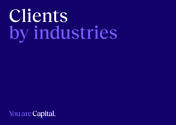## Clients by industries

You are Capital.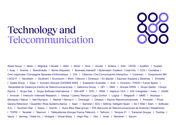# Technology and<br>Telecommunication

Abast Group I Absis I Afiglobal I Alcatel I Alten I Altran I Alvic I Anixter I Antena I Artic I ATOS I Audifilm I Audisel I Ausy I Aventia I Brandmedia I Brime-Assystem I Business Interactif I Bytemaste I Cadtech I Cast-Info I CCS I Coclabsa I Cmc-cognicase I Compagnie Generale d'Informatique I CGI I Cibernos I Cisi Comunicación Interactiva I Coremain I Corporación IBV IDCS-IT I Devoteam I Diusframi I Econocom I Efron I Elecnor I Emeraud I En alguiler I Equinsa I Equipos y Sistemas I Ermestel I Esabe Group I Espa I Eurodoc (Groupe COCEMA-SGN) I Euskalnet I Euskaltel I Ever I Exoclick I FHIOS I Future Space I Generalitat de Catalunya (Centro de Telecomunicaciones) I Getronics Group I GFI I GMV I Groupe OPEN I Grupo Gesfor I Grupo Payma I Grupo Sati I Grupo Software International I GSI-ADP I GTD I HDM I Heptium IICA I ICE I Infoglobal I Indra I Info93 I Innovati I Intercom I Interweb-Research I Intesys I Liberty Telecom I Logic Control I Logica I Megasoft I MMS I Mubiquo I Moviquity I Nakua I Net-Olympus I Nextret I Norma 4 I Omnilogic I Owasys I Payma Telecomunicaciones I Prosodie I Pross Qarana Retevision | Quadrille | Ross Systems Iberica | Saari | Samelan | SCC | Setting | Selligent Spain | Sic | Sfeir | Slam | Software A.G. I Southern Star I Sopra I Sorinfo I Sune (Raw Steel group) I STA (Servicios de Telecomunicaciones de Andorra) I Steeelmood I TCPSI I Tecsidel I Telenium I Télésystèmes (Groupe France Télécom) I Teltronic I Tempos 21 I Transiciel Groupe I Trentisa I Vayris I Vermeg I Viatel Inc. I Vintegris I Virtual Sharp I Virgin Play I Vlex I Voxel I Worldnet I Xacom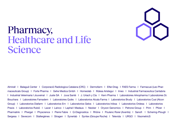

#### Pharmacy, **Healthcare and Life** Science

Almirall I Balaqué Center I Corporació Radiologica Catalana (CRC) I Dermofarm I Elfar-Drag I FAES Farma I Farmacusi (Leo Pharmaceuticals Group) I Forte Pharma I Gehe Medica Gmbh I Homeolab I Ifidesa Aristegui I Imeo I Industrial Farmaceutica Cantabria I Industrial Veterinaria I Jouveinal I Juste SA I Juva Santé I J. Uriach y Cía I Kern Pharma I Laboratoires Arkopharma I Laboratoires Dr. Bouchara I Laboratoires Famadem I Laboratoires Quiès I Laboratorios Alcala Farma I Laboratorios Brudy I Laboratorios Cusi (Alcon Group) I Laboratorios Diafarm I Laboratorios Ern I Laboratorios Gelos I Laboratorios Inibsa I Laboratorios Ordesa I Laboratorios Praxis I Laboratorios Rubió I Lacer I Lainco I Laphal I Madaus I Neoker I Oryzon Genomics I Petrone Group I Prim I Pfizer I Pharmalink I Phergal I Physcience I Pierre Fabre I Q-Diagnostica I Rhône I Poulenc Rorer (Aventis) I Sanofi I Schering-Plough I Sergesa I Sevecom I Stallergènes I Stragen I Synerlab I Syntex (Groupe Roche) I Televida I URGO I VisometricS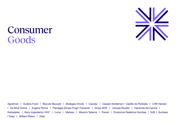

#### Consumer Goods

Agrolimen I Audens Food I Biscuits Bouvard I Bodegas Chivite I Cacolac I Casado Nordeman I Castillo de Perelada I CHR Hansen I Da Silva Vinhos I Eugene Perma I Flamagas (Grupo Puig) I Freixenet I Grupo SOS I Groupe Roullier I Hacienda del Carche I Kerkadelac I Kerry Ingredients I KH7 I Luma I Maheso I Moore's Taberns I Parxet I Productos Dieteticos Sorribas I SJB I Sucitesa **I Tolsa I William Pitters I Zefal**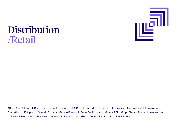

### Distribution /Retail

ADD I Alain Afflelou I Bricorama I Chocolat Factory I DMS I El Fornet d'en Rossend I Eurocintas I Electrostocks I Equivalenza I Eurekakids I Fotoprix I Gonzalo Comella I Groupe Pomona I Frans Bonhomme I Groupe PSI I Grupo Electro-Stocks I Intermarché I La Balear I Megapolis I Plantasol I Pomona I Rabat I Saint Gobain Distribution-Point P I Santa Barbara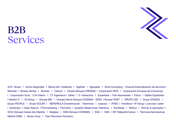

#### B2B Services

ACS Grupo I Activa Seguridad I Aktual ofis I Addenda I Agefred I Agrupalia I Alma Consulting I Avanza Externalización de servicios I Between I Bureau Veritas I Burotec I Carbus I Cenpla (Groupe CRESAN) I Corporación BCS I Corporación Europea de Inversiones I Corporación Suris I Crit Interim I CT Ingenieros I Daher I D. Interactive I Expertises I Fain Ascensores I Folcra I Galtier Expertises I Gestion C I GI Group I Groupe BIS I Groupe Game (Groupe COGEMA – SGN) I Groupe ONET I GRUPO GIS I Grupo GONZAL I Grupo PEOPLE I Grupo SOLER I IBERDROLA Diversificación I Ibermicar I Iceacsa I IFAES I Interdecor I IP Group I Juncosa I Leiter I Nortempo I Open Aliance I Plurimarketing I Promofon I Qualytel Teleservices I Rainbow I Randstad I Refrica I Roman & asociados I SCIC (Groupe Caisse des Dépôts) I Sergesa I SGN (Groupe COGEMA) I SGA I SGS I SR Téléperformance I Técnicas Aeronauticas Madrid (TAM) I Tempo Grup I Tutor Recursos Humanos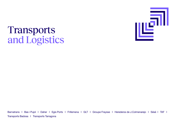

### Transports and Logistics

Barnatrans I Bas i Pujol I Daher I Egis Ports I Frillemena I GLT I Groupe Fraysse I Herederos de J.Colmenarejo I Sésé I TAF I Transports Badosa I Transports Tarragona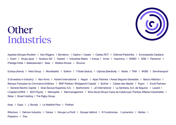

#### Other Industries

Agriplas (Groupe Roullier) | Arjo Wiggins | Bonderco | Capfun | Casals | Cables RCT | Editorial Paidotribo | Enciclopedia Catalana I Ezarri I Grupo Igcar I Gustavo Gili I Hypred I Industrias Mateu I Inecsa I Inmar I Inquimica I KMSD I NGE I Parramon I Prestige Hotel | Salskselmash | Seac | Wolters Kluwer | Zirconio

Eurisys (Areva) | Hera Group | Montebalito | Sotkon | T-Solar (Isolux) | Uipicsa (Iberdrola) | Veolia | TMA | WGBI | Servitransport

3i (Investors in Industry) | Abn-Amro | Advent International | Aegon | Apax Partners | Aresa Seguros Generales | Banco Atlántico | Banque Française du Commerce Extérieur | BNP Paribas | Bridgepoint Capital | Bullnet | Caisse des dépôts | Ergon | Excel Partners I General Electric Capital I Gras Savoye Española, S.A. I Iberfomento I JZ International I La Sanitaria, S.A. de Seguros I Lazard I LCapital (LVMH) I MCH Equity I Mercapital I Merimanagement I Mna-Ascat (Grupo Caixa de Catalunya) I Paribas Affaires Industrielles I Sibec I Smart Holding I The Rigby Group

Asas I Espa I J. Bonals I Le Matériel Pera I Polifred

BVentura I Delmon Industrie I Fainsa I Groupe Le Profil I Groupe Valfond I Ifi Fundiciones I Lamentron I Moltec I Plastohm I Trire